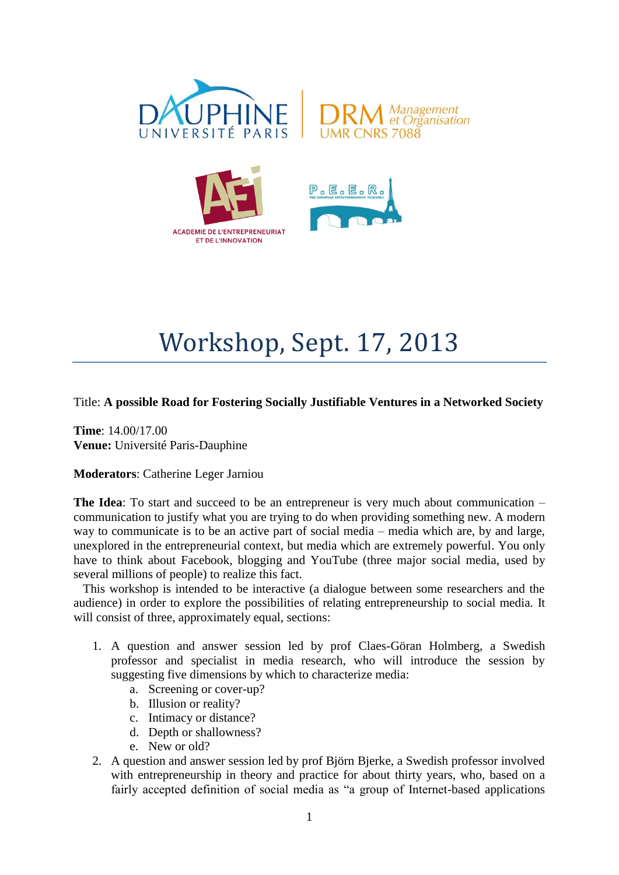



## Workshop, Sept. 17, 2013

Title: **A possible Road for Fostering Socially Justifiable Ventures in a Networked Society**

**Time**: 14.00/17.00 **Venue:** Université Paris-Dauphine

## **Moderators**: Catherine Leger Jarniou

**The Idea**: To start and succeed to be an entrepreneur is very much about communication – communication to justify what you are trying to do when providing something new. A modern way to communicate is to be an active part of social media – media which are, by and large, unexplored in the entrepreneurial context, but media which are extremely powerful. You only have to think about Facebook, blogging and YouTube (three major social media, used by several millions of people) to realize this fact.

 This workshop is intended to be interactive (a dialogue between some researchers and the audience) in order to explore the possibilities of relating entrepreneurship to social media. It will consist of three, approximately equal, sections:

- 1. A question and answer session led by prof Claes-Göran Holmberg, a Swedish professor and specialist in media research, who will introduce the session by suggesting five dimensions by which to characterize media:
	- a. Screening or cover-up?
	- b. Illusion or reality?
	- c. Intimacy or distance?
	- d. Depth or shallowness?
	- e. New or old?
- 2. A question and answer session led by prof Björn Bjerke, a Swedish professor involved with entrepreneurship in theory and practice for about thirty years, who, based on a fairly accepted definition of social media as "a group of Internet-based applications